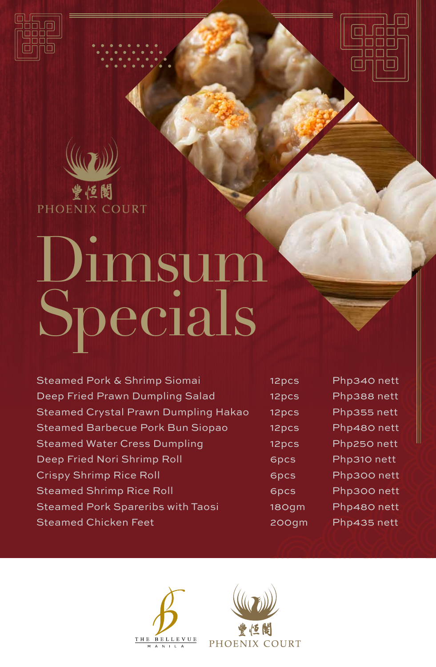



# Dimsum Specials

| Steamed Pork & Shrimp Siomai                | 12pcs | Ph |
|---------------------------------------------|-------|----|
| Deep Fried Prawn Dumpling Salad             | 12pcs | Ph |
| <b>Steamed Crystal Prawn Dumpling Hakao</b> | 12pcs | Ph |
| <b>Steamed Barbecue Pork Bun Siopao</b>     | 12pcs | Ph |
| <b>Steamed Water Cress Dumpling</b>         | 12pcs | Ph |
| Deep Fried Nori Shrimp Roll                 | 6pcs  | Ph |
| <b>Crispy Shrimp Rice Roll</b>              | 6pcs  | Ph |
| <b>Steamed Shrimp Rice Roll</b>             | 6pcs  | Ph |
| <b>Steamed Pork Spareribs with Taosi</b>    | 180qm | Ph |
| <b>Steamed Chicken Feet</b>                 | 200gm | Ph |

p340 nett p388 nett p355 nett p480 nett p250 nett p310 nett p300 nett p300 nett p480 nett p435 nett

 $\Box$ 

⊔

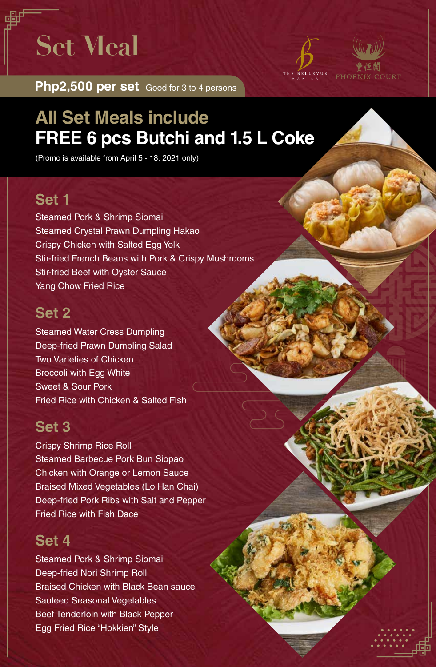**Set Meal**



**Php2,500 per set** Good for 3 to 4 persons

# **All Set Meals include FREE 6 pcs Butchi and 1.5 L Coke**

(Promo is available from April 5 - 18, 2021 only)

### **Set 1**

Steamed Pork & Shrimp Siomai Steamed Crystal Prawn Dumpling Hakao Crispy Chicken with Salted Egg Yolk Stir-fried French Beans with Pork & Crispy Mushrooms Stir-fried Beef with Oyster Sauce Yang Chow Fried Rice

### **Set 2**

Steamed Water Cress Dumpling Deep-fried Prawn Dumpling Salad Two Varieties of Chicken Broccoli with Egg White Sweet & Sour Pork Fried Rice with Chicken & Salted Fish

### **Set 3**

Crispy Shrimp Rice Roll Steamed Barbecue Pork Bun Siopao Chicken with Orange or Lemon Sauce Braised Mixed Vegetables (Lo Han Chai) Deep-fried Pork Ribs with Salt and Pepper Fried Rice with Fish Dace

## **Set 4**

Steamed Pork & Shrimp Siomai Deep-fried Nori Shrimp Roll Braised Chicken with Black Bean sauce Sauteed Seasonal Vegetables Beef Tenderloin with Black Pepper Egg Fried Rice "Hokkien" Style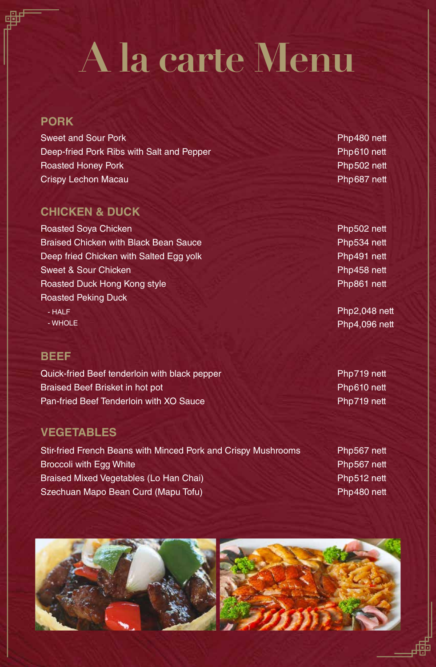# **A la carte Menu**

#### **PORK**

Sweet and Sour Pork Deep-fried Pork Ribs with Salt and Pepper Roasted Honey Pork Crispy Lechon Macau

#### **CHICKEN & DUCK**

Roasted Soya Chicken **Braised Chicken with Black Bean Sauce** Deep fried Chicken with Salted Egg yolk Sweet & Sour Chicken Roasted Duck Hong Kong style Roasted Peking Duck

- HALF - WHOLE

#### **BEEF**

Quick-fried Beef tenderloin with black pepper Braised Beef Brisket in hot pot Pan-fried Beef Tenderloin with XO Sauce

#### **VEGETABLES**

Stir-fried French Beans with Minced Pork and Crispy Mushrooms Broccoli with Egg White Braised Mixed Vegetables (Lo Han Chai) Szechuan Mapo Bean Curd (Mapu Tofu)

Php480 nett Php610 nett Php502 nett Php687 nett

Php502 nett Php534 nett Php491 nett Php458 nett Php861 nett

Php2,048 nett Php4,096 nett

Php719 nett Php610 nett Php719 nett

Php567 nett Php567 nett Php512 nett Php480 nett

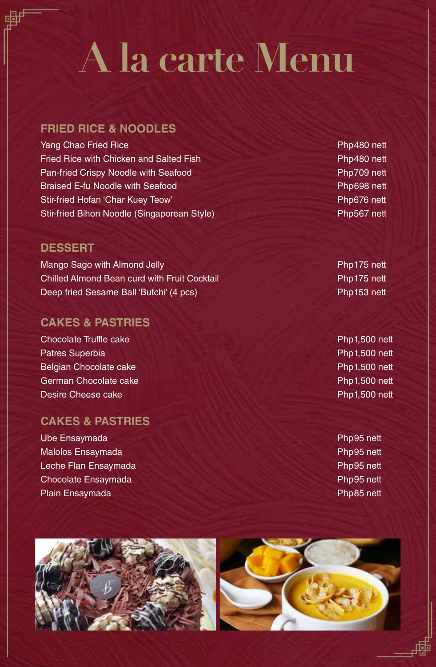# **A la carte Menu**

#### **FRIED RICE & NOODLES**

Yang Chao Fried Rice Fried Rice with Chicken and Salted Fish Pan-fried Crispy Noodle with Seafood Braised E-fu Noodle with Seafood Stir-fried Hofan 'Char Kuey Teow' Stir-fried Bihon Noodle (Singaporean Style)

#### **DESSERT**

Mango Sago with Almond Jelly Chilled Almond Bean curd with Fruit Cocktail Deep fried Sesame Ball 'Butchi' (4 pcs)

#### **CAKES & PASTRIES**

Chocolate Truffle cake Patres Superbia Belgian Chocolate cake German Chocolate cake Desire Cheese cake

#### **CAKES & PASTRIES**

Ube Ensaymada Malolos Ensaymada Leche Flan Ensaymada Chocolate Ensaymada Plain Ensaymada

Php480 nett Php480 nett Php709 nett Php698 nett Php676 nett Php567 nett

Php175 nett Php175 nett Php153 nett

Php1,500 nett Php1,500 nett Php1,500 nett Php1,500 nett Php1,500 nett

Php95 nett Php95 nett Php95 nett Php95 nett Php85 nett